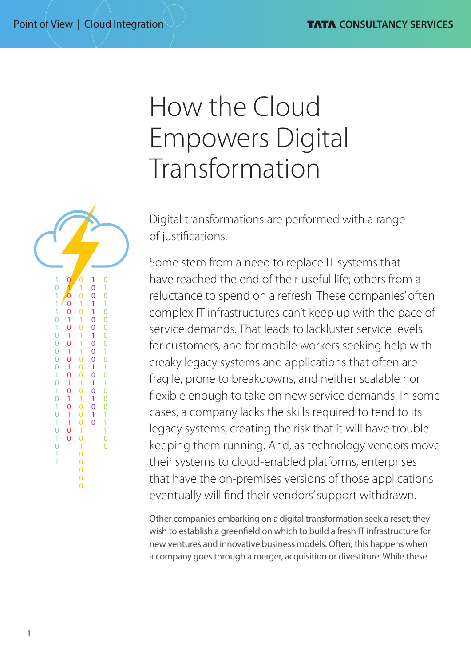# How the Cloud Empowers Digital Transformation

Digital transformations are performed with a range of justifications.

Some stem from a need to replace IT systems that have reached the end of their useful life; others from a reluctance to spend on a refresh. These companies' often complex IT infrastructures can't keep up with the pace of service demands. That leads to lackluster service levels for customers, and for mobile workers seeking help with creaky legacy systems and applications that often are fragile, prone to breakdowns, and neither scalable nor flexible enough to take on new service demands. In some cases, a company lacks the skills required to tend to its legacy systems, creating the risk that it will have trouble keeping them running. And, as technology vendors move their systems to cloud-enabled platforms, enterprises that have the on-premises versions of those applications eventually will find their vendors' support withdrawn.

Other companies embarking on a digital transformation seek a reset; they wish to establish a greenfield on which to build a fresh IT infrastructure for new ventures and innovative business models. Often, this happens when a company goes through a merger, acquisition or divestiture. While these

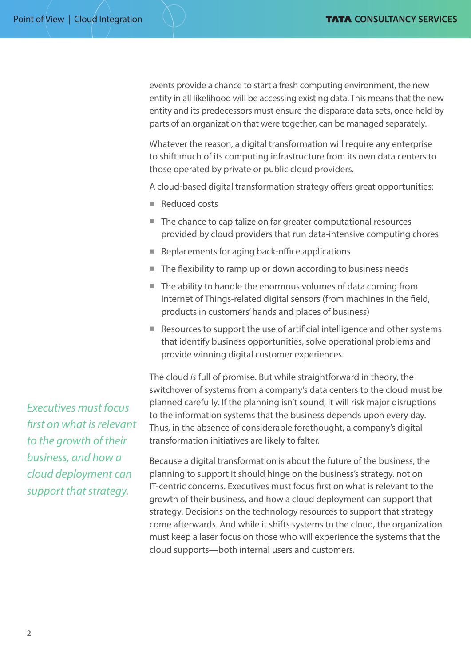events provide a chance to start a fresh computing environment, the new entity in all likelihood will be accessing existing data. This means that the new entity and its predecessors must ensure the disparate data sets, once held by parts of an organization that were together, can be managed separately.

Whatever the reason, a digital transformation will require any enterprise to shift much of its computing infrastructure from its own data centers to those operated by private or public cloud providers.

A cloud-based digital transformation strategy offers great opportunities:

- $\blacksquare$  Reduced costs
- $\blacksquare$  The chance to capitalize on far greater computational resources provided by cloud providers that run data-intensive computing chores
- $\blacksquare$  Replacements for aging back-office applications
- $\blacksquare$  The flexibility to ramp up or down according to business needs
- $\blacksquare$  The ability to handle the enormous volumes of data coming from Internet of Things-related digital sensors (from machines in the field, products in customers' hands and places of business)
- Resources to support the use of artificial intelligence and other systems that identify business opportunities, solve operational problems and provide winning digital customer experiences.

The cloud *is* full of promise. But while straightforward in theory, the switchover of systems from a company's data centers to the cloud must be planned carefully. If the planning isn't sound, it will risk major disruptions to the information systems that the business depends upon every day. Thus, in the absence of considerable forethought, a company's digital transformation initiatives are likely to falter.

Because a digital transformation is about the future of the business, the planning to support it should hinge on the business's strategy. not on IT-centric concerns. Executives must focus first on what is relevant to the growth of their business, and how a cloud deployment can support that strategy. Decisions on the technology resources to support that strategy come afterwards. And while it shifts systems to the cloud, the organization must keep a laser focus on those who will experience the systems that the cloud supports—both internal users and customers.

*Executives must focus first on what is relevant to the growth of their business, and how a cloud deployment can support that strategy.*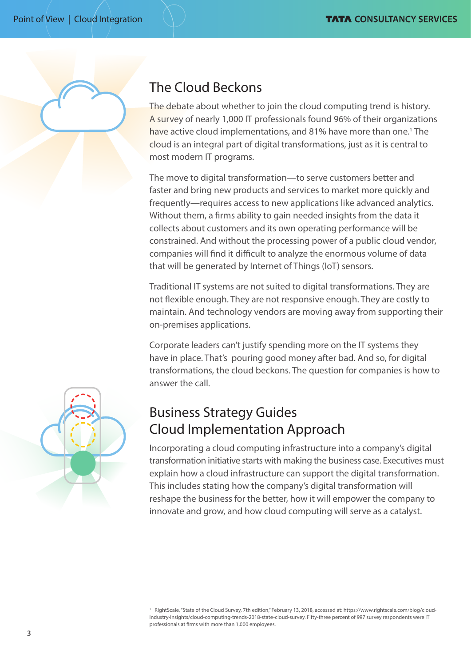

# The Cloud Beckons

The debate about whether to join the cloud computing trend is history. A survey of nearly 1,000 IT professionals found 96% of their organizations have active cloud implementations, and 81% have more than one.<sup>1</sup> The cloud is an integral part of digital transformations, just as it is central to most modern IT programs.

The move to digital transformation—to serve customers better and faster and bring new products and services to market more quickly and frequently—requires access to new applications like advanced analytics. Without them, a firms ability to gain needed insights from the data it collects about customers and its own operating performance will be constrained. And without the processing power of a public cloud vendor, companies will find it difficult to analyze the enormous volume of data that will be generated by Internet of Things (IoT) sensors.

Traditional IT systems are not suited to digital transformations. They are not flexible enough. They are not responsive enough. They are costly to maintain. And technology vendors are moving away from supporting their on-premises applications.

Corporate leaders can't justify spending more on the IT systems they have in place. That's pouring good money after bad. And so, for digital transformations, the cloud beckons. The question for companies is how to answer the call.



# Business Strategy Guides Cloud Implementation Approach

Incorporating a cloud computing infrastructure into a company's digital transformation initiative starts with making the business case. Executives must explain how a cloud infrastructure can support the digital transformation. This includes stating how the company's digital transformation will reshape the business for the better, how it will empower the company to innovate and grow, and how cloud computing will serve as a catalyst.

<sup>1</sup> RightScale, "State of the Cloud Survey, 7th edition," February 13, 2018, accessed at: https://www.rightscale.com/blog/cloudindustry-insights/cloud-computing-trends-2018-state-cloud-survey. Fifty-three percent of 997 survey respondents were IT professionals at firms with more than 1,000 employees.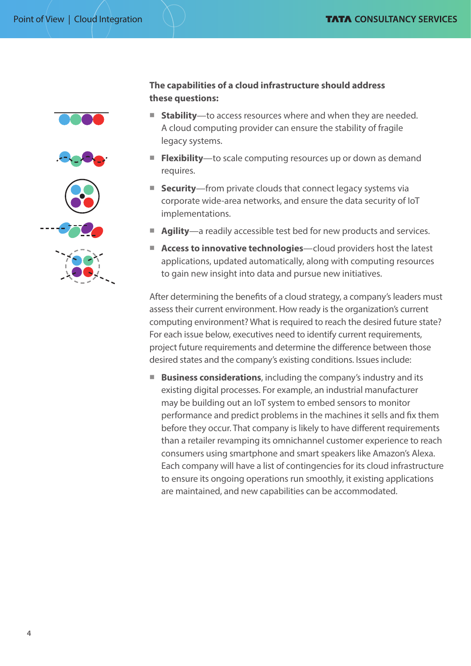







## **The capabilities of a cloud infrastructure should address these questions:**

- **Stability**—to access resources where and when they are needed. A cloud computing provider can ensure the stability of fragile legacy systems.
- **Flexibility**—to scale computing resources up or down as demand requires.
- **Security**—from private clouds that connect legacy systems via corporate wide-area networks, and ensure the data security of IoT implementations.
- **Agility**—a readily accessible test bed for new products and services.
- **Access to innovative technologies**—cloud providers host the latest applications, updated automatically, along with computing resources to gain new insight into data and pursue new initiatives.

After determining the benefits of a cloud strategy, a company's leaders must assess their current environment. How ready is the organization's current computing environment? What is required to reach the desired future state? For each issue below, executives need to identify current requirements, project future requirements and determine the difference between those desired states and the company's existing conditions. Issues include:

**E** Business considerations, including the company's industry and its existing digital processes. For example, an industrial manufacturer may be building out an IoT system to embed sensors to monitor performance and predict problems in the machines it sells and fix them before they occur. That company is likely to have different requirements than a retailer revamping its omnichannel customer experience to reach consumers using smartphone and smart speakers like Amazon's Alexa. Each company will have a list of contingencies for its cloud infrastructure to ensure its ongoing operations run smoothly, it existing applications are maintained, and new capabilities can be accommodated.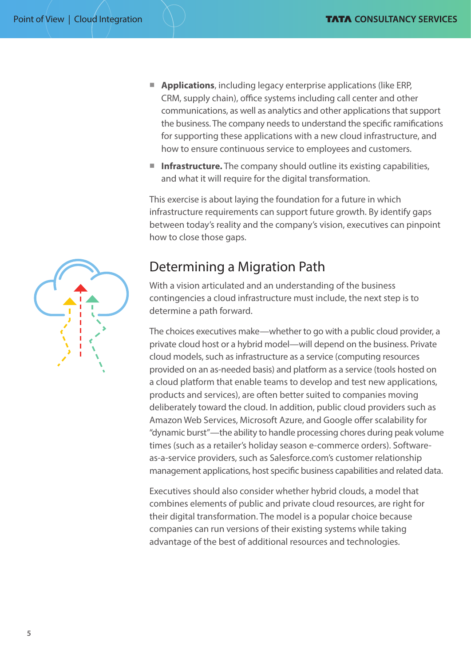- **E** Applications, including legacy enterprise applications (like ERP, CRM, supply chain), office systems including call center and other communications, as well as analytics and other applications that support the business. The company needs to understand the specific ramifications for supporting these applications with a new cloud infrastructure, and how to ensure continuous service to employees and customers.
- **n Infrastructure.** The company should outline its existing capabilities, and what it will require for the digital transformation.

This exercise is about laying the foundation for a future in which infrastructure requirements can support future growth. By identify gaps between today's reality and the company's vision, executives can pinpoint how to close those gaps.

## Determining a Migration Path

With a vision articulated and an understanding of the business contingencies a cloud infrastructure must include, the next step is to determine a path forward.

The choices executives make—whether to go with a public cloud provider, a private cloud host or a hybrid model—will depend on the business. Private cloud models, such as infrastructure as a service (computing resources provided on an as-needed basis) and platform as a service (tools hosted on a cloud platform that enable teams to develop and test new applications, products and services), are often better suited to companies moving deliberately toward the cloud. In addition, public cloud providers such as Amazon Web Services, Microsoft Azure, and Google offer scalability for "dynamic burst"—the ability to handle processing chores during peak volume times (such as a retailer's holiday season e-commerce orders). Softwareas-a-service providers, such as Salesforce.com's customer relationship management applications, host specific business capabilities and related data.

Executives should also consider whether hybrid clouds, a model that combines elements of public and private cloud resources, are right for their digital transformation. The model is a popular choice because companies can run versions of their existing systems while taking advantage of the best of additional resources and technologies.

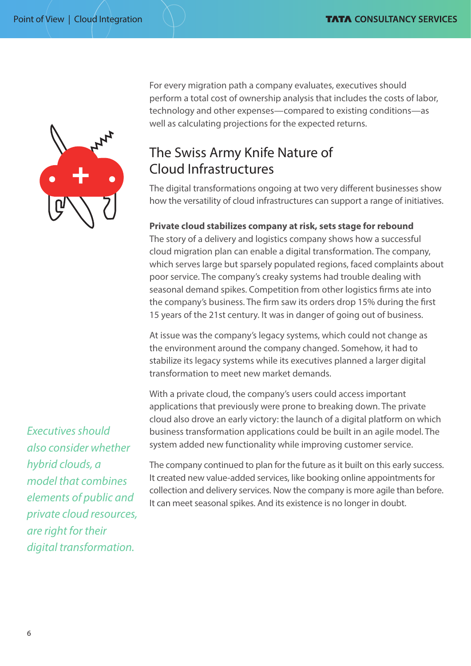

For every migration path a company evaluates, executives should perform a total cost of ownership analysis that includes the costs of labor, technology and other expenses—compared to existing conditions—as well as calculating projections for the expected returns.

# The Swiss Army Knife Nature of Cloud Infrastructures

The digital transformations ongoing at two very different businesses show how the versatility of cloud infrastructures can support a range of initiatives.

## **Private cloud stabilizes company at risk, sets stage for rebound**

The story of a delivery and logistics company shows how a successful cloud migration plan can enable a digital transformation. The company, which serves large but sparsely populated regions, faced complaints about poor service. The company's creaky systems had trouble dealing with seasonal demand spikes. Competition from other logistics firms ate into the company's business. The firm saw its orders drop 15% during the first 15 years of the 21st century. It was in danger of going out of business.

At issue was the company's legacy systems, which could not change as the environment around the company changed. Somehow, it had to stabilize its legacy systems while its executives planned a larger digital transformation to meet new market demands.

With a private cloud, the company's users could access important applications that previously were prone to breaking down. The private cloud also drove an early victory: the launch of a digital platform on which business transformation applications could be built in an agile model. The system added new functionality while improving customer service.

*Executives should also consider whether hybrid clouds, a model that combines elements of public and private cloud resources, are right for their digital transformation.*

The company continued to plan for the future as it built on this early success. It created new value-added services, like booking online appointments for collection and delivery services. Now the company is more agile than before. It can meet seasonal spikes. And its existence is no longer in doubt.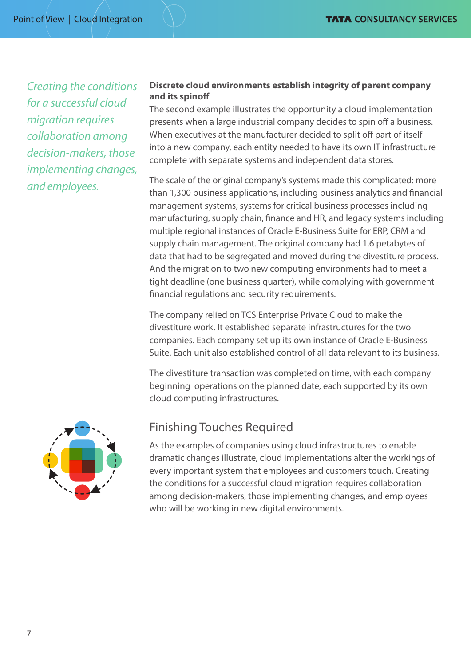*Creating the conditions for a successful cloud migration requires collaboration among decision-makers, those implementing changes, and employees.*

### **Discrete cloud environments establish integrity of parent company and its spinoff**

The second example illustrates the opportunity a cloud implementation presents when a large industrial company decides to spin off a business. When executives at the manufacturer decided to split off part of itself into a new company, each entity needed to have its own IT infrastructure complete with separate systems and independent data stores.

The scale of the original company's systems made this complicated: more than 1,300 business applications, including business analytics and financial management systems; systems for critical business processes including manufacturing, supply chain, finance and HR, and legacy systems including multiple regional instances of Oracle E-Business Suite for ERP, CRM and supply chain management. The original company had 1.6 petabytes of data that had to be segregated and moved during the divestiture process. And the migration to two new computing environments had to meet a tight deadline (one business quarter), while complying with government financial regulations and security requirements.

The company relied on TCS Enterprise Private Cloud to make the divestiture work. It established separate infrastructures for the two companies. Each company set up its own instance of Oracle E-Business Suite. Each unit also established control of all data relevant to its business.

The divestiture transaction was completed on time, with each company beginning operations on the planned date, each supported by its own cloud computing infrastructures.



## Finishing Touches Required

As the examples of companies using cloud infrastructures to enable dramatic changes illustrate, cloud implementations alter the workings of every important system that employees and customers touch. Creating the conditions for a successful cloud migration requires collaboration among decision-makers, those implementing changes, and employees who will be working in new digital environments.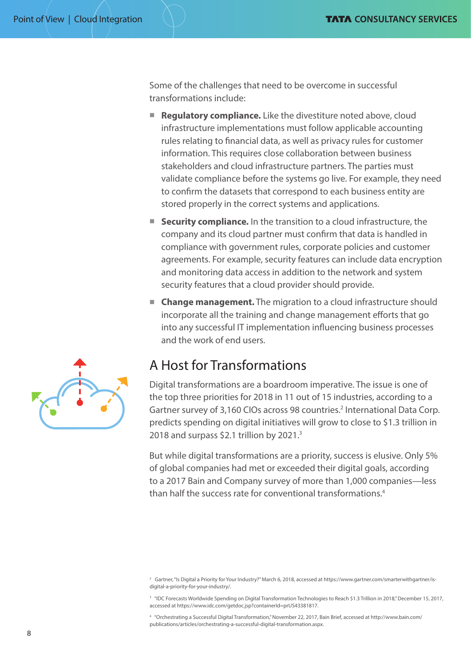Some of the challenges that need to be overcome in successful transformations include:

- **Regulatory compliance.** Like the divestiture noted above, cloud infrastructure implementations must follow applicable accounting rules relating to financial data, as well as privacy rules for customer information. This requires close collaboration between business stakeholders and cloud infrastructure partners. The parties must validate compliance before the systems go live. For example, they need to confirm the datasets that correspond to each business entity are stored properly in the correct systems and applications.
- **E** Security compliance. In the transition to a cloud infrastructure, the company and its cloud partner must confirm that data is handled in compliance with government rules, corporate policies and customer agreements. For example, security features can include data encryption and monitoring data access in addition to the network and system security features that a cloud provider should provide.
- **E** Change management. The migration to a cloud infrastructure should incorporate all the training and change management efforts that go into any successful IT implementation influencing business processes and the work of end users.

## A Host for Transformations

Digital transformations are a boardroom imperative. The issue is one of the top three priorities for 2018 in 11 out of 15 industries, according to a Gartner survey of 3,160 CIOs across 98 countries.<sup>2</sup> International Data Corp. predicts spending on digital initiatives will grow to close to \$1.3 trillion in 2018 and surpass \$2.1 trillion by 2021.3

But while digital transformations are a priority, success is elusive. Only 5% of global companies had met or exceeded their digital goals, according to a 2017 Bain and Company survey of more than 1,000 companies—less than half the success rate for conventional transformations.4

4 "Orchestrating a Successful Digital Transformation," November 22, 2017, Bain Brief, accessed at [http://www.bain.com/](http://www.bain.com/publications/articles/orchestrating-a-successful-digital-transformation.aspx) [publications/articles/orchestrating-a-successful-digital-transformation.aspx](http://www.bain.com/publications/articles/orchestrating-a-successful-digital-transformation.aspx).



<sup>2</sup> Gartner, "Is Digital a Priority for Your Industry?" March 6, 2018, accessed at https://www.gartner.com/smarterwithgartner/isdigital-a-priority-for-your-industry/.

<sup>&</sup>lt;sup>3</sup> "IDC Forecasts Worldwide Spending on Digital Transformation Technologies to Reach \$1.3 Trillion in 2018," December 15, 2017, accessed at https://www.idc.com/getdoc.jsp?containerId=prUS43381817.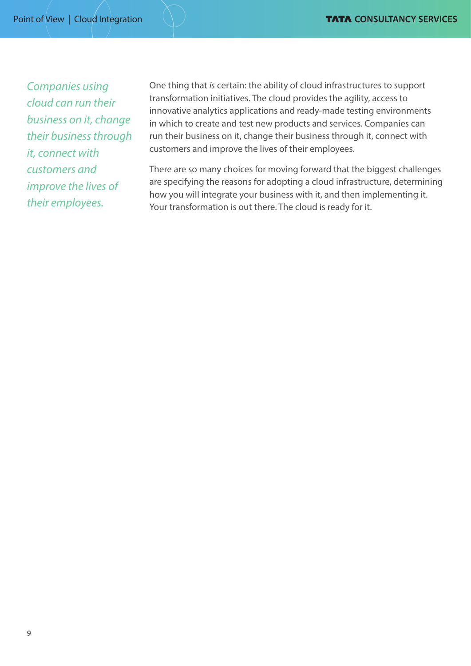*Companies using cloud can run their business on it, change their business through it, connect with customers and improve the lives of their employees.*

One thing that *is* certain: the ability of cloud infrastructures to support transformation initiatives. The cloud provides the agility, access to innovative analytics applications and ready-made testing environments in which to create and test new products and services. Companies can run their business on it, change their business through it, connect with customers and improve the lives of their employees.

There are so many choices for moving forward that the biggest challenges are specifying the reasons for adopting a cloud infrastructure, determining how you will integrate your business with it, and then implementing it. Your transformation is out there. The cloud is ready for it.